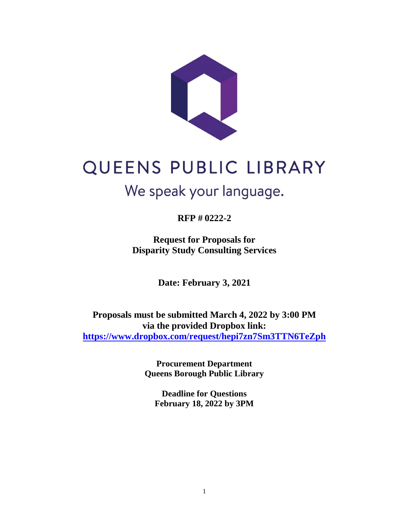

# QUEENS PUBLIC LIBRARY

# We speak your language.

**RFP # 0222-2**

**Request for Proposals for Disparity Study Consulting Services**

**Date: February 3, 2021**

**Proposals must be submitted March 4, 2022 by 3:00 PM via the provided Dropbox link: <https://www.dropbox.com/request/hepi7zn7Sm3TTN6TeZph>**

> **Procurement Department Queens Borough Public Library**

**Deadline for Questions February 18, 2022 by 3PM**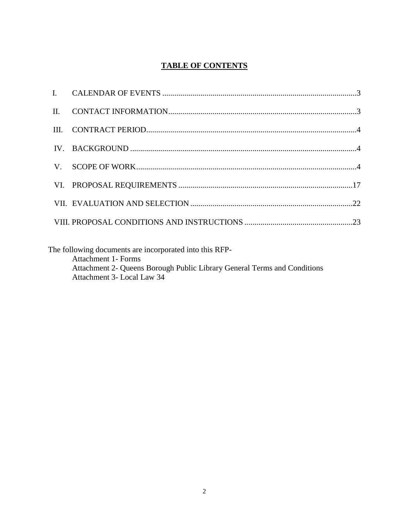# **TABLE OF CONTENTS**

The following documents are incorporated into this RFP-Attachment 1- Forms Attachment 2- Queens Borough Public Library General Terms and Conditions Attachment 3- Local Law 34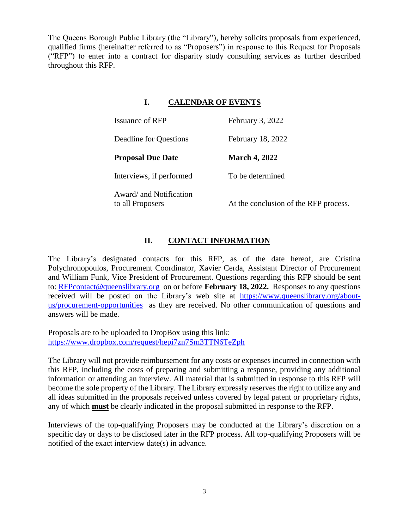The Queens Borough Public Library (the "Library"), hereby solicits proposals from experienced, qualified firms (hereinafter referred to as "Proposers") in response to this Request for Proposals ("RFP") to enter into a contract for disparity study consulting services as further described throughout this RFP.

## **I. CALENDAR OF EVENTS**

| <b>Issuance of RFP</b>                      | February 3, 2022                      |
|---------------------------------------------|---------------------------------------|
| Deadline for Questions                      | February 18, 2022                     |
| <b>Proposal Due Date</b>                    | <b>March 4, 2022</b>                  |
| Interviews, if performed                    | To be determined                      |
| Award/ and Notification<br>to all Proposers | At the conclusion of the RFP process. |

# **II. CONTACT INFORMATION**

The Library's designated contacts for this RFP, as of the date hereof, are Cristina Polychronopoulos, Procurement Coordinator, Xavier Cerda, Assistant Director of Procurement and William Funk, Vice President of Procurement. Questions regarding this RFP should be sent to: [RFPcontact@queenslibrary.org](mailto:RFPcontact@queenslibrary.org) on or before **February 18, 2022.** Responses to any questions received will be posted on the Library's web site at [https://www.queenslibrary.org/about](https://www.queenslibrary.org/about-us/procurement-opportunities)[us/procurement-opportunities](https://www.queenslibrary.org/about-us/procurement-opportunities) as they are received. No other communication of questions and answers will be made.

Proposals are to be uploaded to DropBox using this link: <https://www.dropbox.com/request/hepi7zn7Sm3TTN6TeZph>

The Library will not provide reimbursement for any costs or expenses incurred in connection with this RFP, including the costs of preparing and submitting a response, providing any additional information or attending an interview. All material that is submitted in response to this RFP will become the sole property of the Library. The Library expressly reserves the right to utilize any and all ideas submitted in the proposals received unless covered by legal patent or proprietary rights, any of which **must** be clearly indicated in the proposal submitted in response to the RFP.

Interviews of the top-qualifying Proposers may be conducted at the Library's discretion on a specific day or days to be disclosed later in the RFP process. All top-qualifying Proposers will be notified of the exact interview date(s) in advance.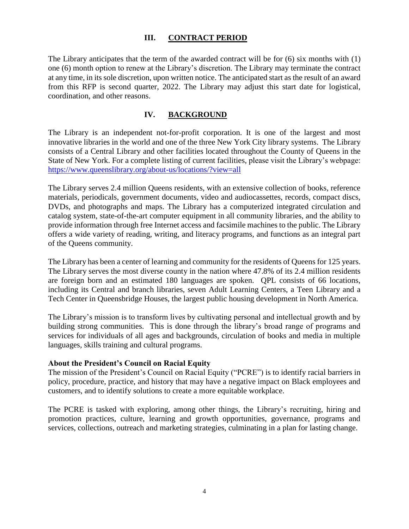#### **III. CONTRACT PERIOD**

The Library anticipates that the term of the awarded contract will be for (6) six months with (1) one (6) month option to renew at the Library's discretion. The Library may terminate the contract at any time, in its sole discretion, upon written notice. The anticipated start as the result of an award from this RFP is second quarter, 2022. The Library may adjust this start date for logistical, coordination, and other reasons.

#### **IV. BACKGROUND**

The Library is an independent not-for-profit corporation. It is one of the largest and most innovative libraries in the world and one of the three New York City library systems. The Library consists of a Central Library and other facilities located throughout the County of Queens in the State of New York. For a complete listing of current facilities, please visit the Library's webpage: <https://www.queenslibrary.org/about-us/locations/?view=all>

The Library serves 2.4 million Queens residents, with an extensive collection of books, reference materials, periodicals, government documents, video and audiocassettes, records, compact discs, DVDs, and photographs and maps. The Library has a computerized integrated circulation and catalog system, state-of-the-art computer equipment in all community libraries, and the ability to provide information through free Internet access and facsimile machines to the public. The Library offers a wide variety of reading, writing, and literacy programs, and functions as an integral part of the Queens community.

The Library has been a center of learning and community for the residents of Queens for 125 years. The Library serves the most diverse county in the nation where 47.8% of its 2.4 million residents are foreign born and an estimated 180 languages are spoken. QPL consists of 66 locations, including its Central and branch libraries, seven Adult Learning Centers, a Teen Library and a Tech Center in Queensbridge Houses, the largest public housing development in North America.

The Library's mission is to transform lives by cultivating personal and intellectual growth and by building strong communities. This is done through the library's broad range of programs and services for individuals of all ages and backgrounds, circulation of books and media in multiple languages, skills training and cultural programs.

#### **About the President's Council on Racial Equity**

The mission of the President's Council on Racial Equity ("PCRE") is to identify racial barriers in policy, procedure, practice, and history that may have a negative impact on Black employees and customers, and to identify solutions to create a more equitable workplace.

The PCRE is tasked with exploring, among other things, the Library's recruiting, hiring and promotion practices, culture, learning and growth opportunities, governance, programs and services, collections, outreach and marketing strategies, culminating in a plan for lasting change.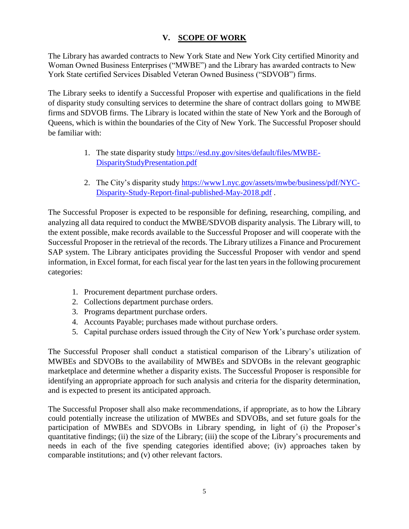# **V. SCOPE OF WORK**

The Library has awarded contracts to New York State and New York City certified Minority and Woman Owned Business Enterprises ("MWBE") and the Library has awarded contracts to New York State certified Services Disabled Veteran Owned Business ("SDVOB") firms.

The Library seeks to identify a Successful Proposer with expertise and qualifications in the field of disparity study consulting services to determine the share of contract dollars going to MWBE firms and SDVOB firms. The Library is located within the state of New York and the Borough of Queens, which is within the boundaries of the City of New York. The Successful Proposer should be familiar with:

- 1. The state disparity study [https://esd.ny.gov/sites/default/files/MWBE-](https://esd.ny.gov/sites/default/files/MWBE-DisparityStudyPresentation.pdf)[DisparityStudyPresentation.pdf](https://esd.ny.gov/sites/default/files/MWBE-DisparityStudyPresentation.pdf)
- 2. The City's disparity study [https://www1.nyc.gov/assets/mwbe/business/pdf/NYC-](https://www1.nyc.gov/assets/mwbe/business/pdf/NYC-Disparity-Study-Report-final-published-May-2018.pdf)[Disparity-Study-Report-final-published-May-2018.pdf](https://www1.nyc.gov/assets/mwbe/business/pdf/NYC-Disparity-Study-Report-final-published-May-2018.pdf).

The Successful Proposer is expected to be responsible for defining, researching, compiling, and analyzing all data required to conduct the MWBE/SDVOB disparity analysis. The Library will, to the extent possible, make records available to the Successful Proposer and will cooperate with the Successful Proposer in the retrieval of the records. The Library utilizes a Finance and Procurement SAP system. The Library anticipates providing the Successful Proposer with vendor and spend information, in Excel format, for each fiscal year for the last ten years in the following procurement categories:

- 1. Procurement department purchase orders.
- 2. Collections department purchase orders.
- 3. Programs department purchase orders.
- 4. Accounts Payable; purchases made without purchase orders.
- 5. Capital purchase orders issued through the City of New York's purchase order system.

The Successful Proposer shall conduct a statistical comparison of the Library's utilization of MWBEs and SDVOBs to the availability of MWBEs and SDVOBs in the relevant geographic marketplace and determine whether a disparity exists. The Successful Proposer is responsible for identifying an appropriate approach for such analysis and criteria for the disparity determination, and is expected to present its anticipated approach.

The Successful Proposer shall also make recommendations, if appropriate, as to how the Library could potentially increase the utilization of MWBEs and SDVOBs, and set future goals for the participation of MWBEs and SDVOBs in Library spending, in light of (i) the Proposer's quantitative findings; (ii) the size of the Library; (iii) the scope of the Library's procurements and needs in each of the five spending categories identified above; (iv) approaches taken by comparable institutions; and (v) other relevant factors.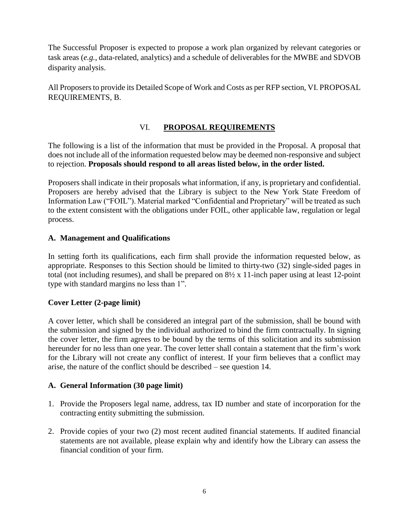The Successful Proposer is expected to propose a work plan organized by relevant categories or task areas (*e.g.*, data-related, analytics) and a schedule of deliverables for the MWBE and SDVOB disparity analysis.

All Proposers to provide its Detailed Scope of Work and Costs as per RFP section, VI. PROPOSAL REQUIREMENTS, B.

# VI. **PROPOSAL REQUIREMENTS**

The following is a list of the information that must be provided in the Proposal. A proposal that does not include all of the information requested below may be deemed non-responsive and subject to rejection. **Proposals should respond to all areas listed below, in the order listed.**

Proposers shall indicate in their proposals what information, if any, is proprietary and confidential. Proposers are hereby advised that the Library is subject to the New York State Freedom of Information Law ("FOIL"). Material marked "Confidential and Proprietary" will be treated as such to the extent consistent with the obligations under FOIL, other applicable law, regulation or legal process.

#### **A. Management and Qualifications**

In setting forth its qualifications, each firm shall provide the information requested below, as appropriate. Responses to this Section should be limited to thirty-two (32) single-sided pages in total (not including resumes), and shall be prepared on 8½ x 11-inch paper using at least 12-point type with standard margins no less than 1".

#### **Cover Letter (2-page limit)**

A cover letter, which shall be considered an integral part of the submission, shall be bound with the submission and signed by the individual authorized to bind the firm contractually. In signing the cover letter, the firm agrees to be bound by the terms of this solicitation and its submission hereunder for no less than one year. The cover letter shall contain a statement that the firm's work for the Library will not create any conflict of interest. If your firm believes that a conflict may arise, the nature of the conflict should be described – see question 14.

#### **A. General Information (30 page limit)**

- 1. Provide the Proposers legal name, address, tax ID number and state of incorporation for the contracting entity submitting the submission.
- 2. Provide copies of your two (2) most recent audited financial statements. If audited financial statements are not available, please explain why and identify how the Library can assess the financial condition of your firm.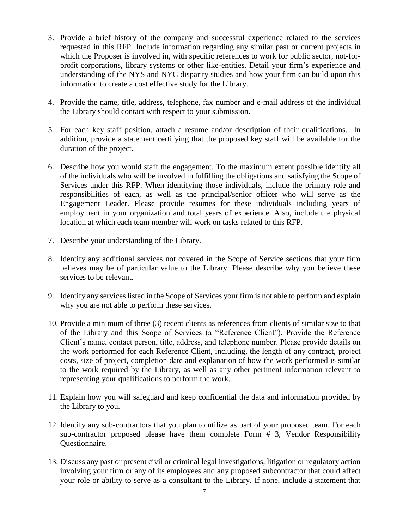- 3. Provide a brief history of the company and successful experience related to the services requested in this RFP. Include information regarding any similar past or current projects in which the Proposer is involved in, with specific references to work for public sector, not-forprofit corporations, library systems or other like-entities. Detail your firm's experience and understanding of the NYS and NYC disparity studies and how your firm can build upon this information to create a cost effective study for the Library.
- 4. Provide the name, title, address, telephone, fax number and e-mail address of the individual the Library should contact with respect to your submission.
- 5. For each key staff position, attach a resume and/or description of their qualifications. In addition, provide a statement certifying that the proposed key staff will be available for the duration of the project.
- 6. Describe how you would staff the engagement. To the maximum extent possible identify all of the individuals who will be involved in fulfilling the obligations and satisfying the Scope of Services under this RFP. When identifying those individuals, include the primary role and responsibilities of each, as well as the principal/senior officer who will serve as the Engagement Leader. Please provide resumes for these individuals including years of employment in your organization and total years of experience. Also, include the physical location at which each team member will work on tasks related to this RFP.
- 7. Describe your understanding of the Library.
- 8. Identify any additional services not covered in the Scope of Service sections that your firm believes may be of particular value to the Library. Please describe why you believe these services to be relevant.
- 9. Identify any services listed in the Scope of Services your firm is not able to perform and explain why you are not able to perform these services.
- 10. Provide a minimum of three (3) recent clients as references from clients of similar size to that of the Library and this Scope of Services (a "Reference Client"). Provide the Reference Client's name, contact person, title, address, and telephone number. Please provide details on the work performed for each Reference Client, including, the length of any contract, project costs, size of project, completion date and explanation of how the work performed is similar to the work required by the Library, as well as any other pertinent information relevant to representing your qualifications to perform the work.
- 11. Explain how you will safeguard and keep confidential the data and information provided by the Library to you.
- 12. Identify any sub-contractors that you plan to utilize as part of your proposed team. For each sub-contractor proposed please have them complete Form # 3, Vendor Responsibility Questionnaire.
- 13. Discuss any past or present civil or criminal legal investigations, litigation or regulatory action involving your firm or any of its employees and any proposed subcontractor that could affect your role or ability to serve as a consultant to the Library. If none, include a statement that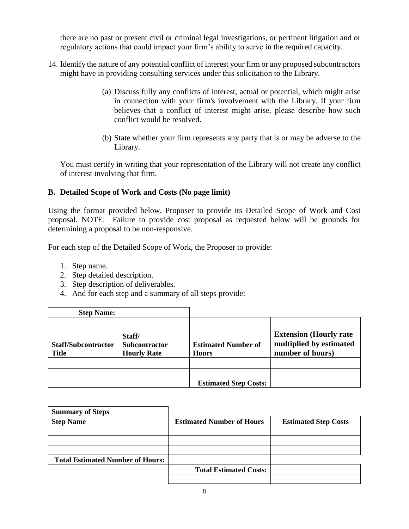there are no past or present civil or criminal legal investigations, or pertinent litigation and or regulatory actions that could impact your firm's ability to serve in the required capacity.

- 14. Identify the nature of any potential conflict of interest your firm or any proposed subcontractors might have in providing consulting services under this solicitation to the Library.
	- (a) Discuss fully any conflicts of interest, actual or potential, which might arise in connection with your firm's involvement with the Library. If your firm believes that a conflict of interest might arise, please describe how such conflict would be resolved.
	- (b) State whether your firm represents any party that is or may be adverse to the Library.

You must certify in writing that your representation of the Library will not create any conflict of interest involving that firm.

#### **B. Detailed Scope of Work and Costs (No page limit)**

Using the format provided below, Proposer to provide its Detailed Scope of Work and Cost proposal. NOTE: Failure to provide cost proposal as requested below will be grounds for determining a proposal to be non-responsive.

For each step of the Detailed Scope of Work, the Proposer to provide:

- 1. Step name.
- 2. Step detailed description.
- 3. Step description of deliverables.
- 4. And for each step and a summary of all steps provide:

| <b>Step Name:</b>                          |                                                      |                                            |                                                                               |
|--------------------------------------------|------------------------------------------------------|--------------------------------------------|-------------------------------------------------------------------------------|
| <b>Staff/Subcontractor</b><br><b>Title</b> | Staff/<br><b>Subcontractor</b><br><b>Hourly Rate</b> | <b>Estimated Number of</b><br><b>Hours</b> | <b>Extension (Hourly rate)</b><br>multiplied by estimated<br>number of hours) |
|                                            |                                                      |                                            |                                                                               |
|                                            |                                                      | <b>Estimated Step Costs:</b>               |                                                                               |

| <b>Summary of Steps</b>                 |                                  |                             |
|-----------------------------------------|----------------------------------|-----------------------------|
| <b>Step Name</b>                        | <b>Estimated Number of Hours</b> | <b>Estimated Step Costs</b> |
|                                         |                                  |                             |
|                                         |                                  |                             |
|                                         |                                  |                             |
| <b>Total Estimated Number of Hours:</b> |                                  |                             |
|                                         | <b>Total Estimated Costs:</b>    |                             |
|                                         |                                  |                             |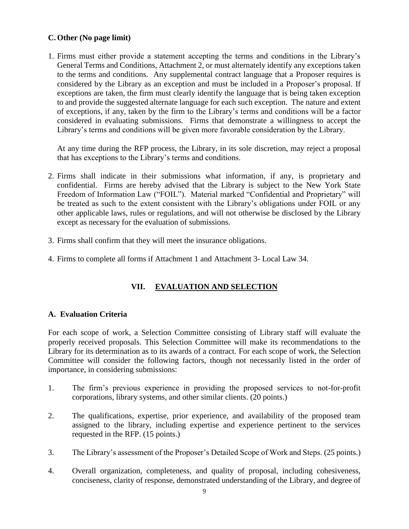#### **C. Other (No page limit)**

1. Firms must either provide a statement accepting the terms and conditions in the Library's General Terms and Conditions, Attachment 2, or must alternately identify any exceptions taken to the terms and conditions. Any supplemental contract language that a Proposer requires is considered by the Library as an exception and must be included in a Proposer's proposal. If exceptions are taken, the firm must clearly identify the language that is being taken exception to and provide the suggested alternate language for each such exception. The nature and extent of exceptions, if any, taken by the firm to the Library's terms and conditions will be a factor considered in evaluating submissions. Firms that demonstrate a willingness to accept the Library's terms and conditions will be given more favorable consideration by the Library.

At any time during the RFP process, the Library, in its sole discretion, may reject a proposal that has exceptions to the Library's terms and conditions.

- 2. Firms shall indicate in their submissions what information, if any, is proprietary and confidential. Firms are hereby advised that the Library is subject to the New York State Freedom of Information Law ("FOIL"). Material marked "Confidential and Proprietary" will be treated as such to the extent consistent with the Library's obligations under FOIL or any other applicable laws, rules or regulations, and will not otherwise be disclosed by the Library except as necessary for the evaluation of submissions.
- 3. Firms shall confirm that they will meet the insurance obligations.
- 4. Firms to complete all forms if Attachment 1 and Attachment 3- Local Law 34.

# **VII. EVALUATION AND SELECTION**

#### **A. Evaluation Criteria**

For each scope of work, a Selection Committee consisting of Library staff will evaluate the properly received proposals. This Selection Committee will make its recommendations to the Library for its determination as to its awards of a contract. For each scope of work, the Selection Committee will consider the following factors, though not necessarily listed in the order of importance, in considering submissions:

- 1. The firm's previous experience in providing the proposed services to not-for-profit corporations, library systems, and other similar clients. (20 points.)
- 2. The qualifications, expertise, prior experience, and availability of the proposed team assigned to the library, including expertise and experience pertinent to the services requested in the RFP. (15 points.)
- 3. The Library's assessment of the Proposer's Detailed Scope of Work and Steps. (25 points.)
- 4. Overall organization, completeness, and quality of proposal, including cohesiveness, conciseness, clarity of response, demonstrated understanding of the Library, and degree of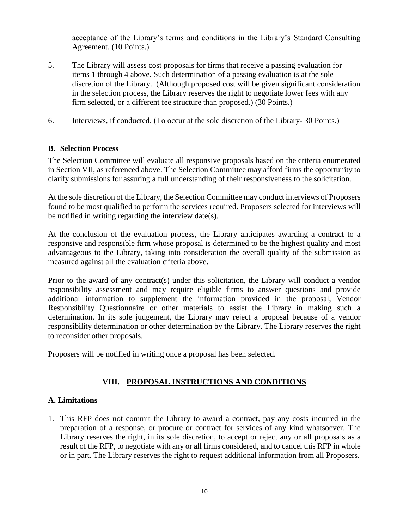acceptance of the Library's terms and conditions in the Library's Standard Consulting Agreement. (10 Points.)

- 5. The Library will assess cost proposals for firms that receive a passing evaluation for items 1 through 4 above. Such determination of a passing evaluation is at the sole discretion of the Library. (Although proposed cost will be given significant consideration in the selection process, the Library reserves the right to negotiate lower fees with any firm selected, or a different fee structure than proposed.) (30 Points.)
- 6. Interviews, if conducted. (To occur at the sole discretion of the Library- 30 Points.)

#### **B. Selection Process**

The Selection Committee will evaluate all responsive proposals based on the criteria enumerated in Section VII, as referenced above. The Selection Committee may afford firms the opportunity to clarify submissions for assuring a full understanding of their responsiveness to the solicitation.

At the sole discretion of the Library, the Selection Committee may conduct interviews of Proposers found to be most qualified to perform the services required. Proposers selected for interviews will be notified in writing regarding the interview date(s).

At the conclusion of the evaluation process, the Library anticipates awarding a contract to a responsive and responsible firm whose proposal is determined to be the highest quality and most advantageous to the Library, taking into consideration the overall quality of the submission as measured against all the evaluation criteria above.

Prior to the award of any contract(s) under this solicitation, the Library will conduct a vendor responsibility assessment and may require eligible firms to answer questions and provide additional information to supplement the information provided in the proposal, Vendor Responsibility Questionnaire or other materials to assist the Library in making such a determination. In its sole judgement, the Library may reject a proposal because of a vendor responsibility determination or other determination by the Library. The Library reserves the right to reconsider other proposals.

Proposers will be notified in writing once a proposal has been selected.

#### **VIII. PROPOSAL INSTRUCTIONS AND CONDITIONS**

#### **A. Limitations**

1. This RFP does not commit the Library to award a contract, pay any costs incurred in the preparation of a response, or procure or contract for services of any kind whatsoever. The Library reserves the right, in its sole discretion, to accept or reject any or all proposals as a result of the RFP, to negotiate with any or all firms considered, and to cancel this RFP in whole or in part. The Library reserves the right to request additional information from all Proposers.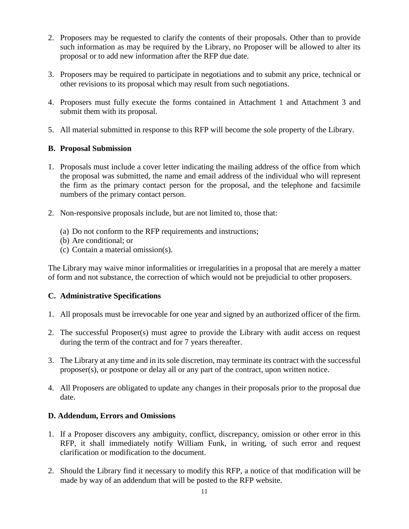- 2. Proposers may be requested to clarify the contents of their proposals. Other than to provide such information as may be required by the Library, no Proposer will be allowed to alter its proposal or to add new information after the RFP due date.
- 3. Proposers may be required to participate in negotiations and to submit any price, technical or other revisions to its proposal which may result from such negotiations.
- 4. Proposers must fully execute the forms contained in Attachment 1 and Attachment 3 and submit them with its proposal.
- 5. All material submitted in response to this RFP will become the sole property of the Library.

## **B. Proposal Submission**

- 1. Proposals must include a cover letter indicating the mailing address of the office from which the proposal was submitted, the name and email address of the individual who will represent the firm as the primary contact person for the proposal, and the telephone and facsimile numbers of the primary contact person.
- 2. Non-responsive proposals include, but are not limited to, those that:
	- (a) Do not conform to the RFP requirements and instructions;
	- (b) Are conditional; or
	- (c) Contain a material omission(s).

The Library may waive minor informalities or irregularities in a proposal that are merely a matter of form and not substance, the correction of which would not be prejudicial to other proposers.

# **C. Administrative Specifications**

- 1. All proposals must be irrevocable for one year and signed by an authorized officer of the firm.
- 2. The successful Proposer(s) must agree to provide the Library with audit access on request during the term of the contract and for 7 years thereafter.
- 3. The Library at any time and in its sole discretion, may terminate its contract with the successful proposer(s), or postpone or delay all or any part of the contract, upon written notice.
- 4. All Proposers are obligated to update any changes in their proposals prior to the proposal due date.

#### **D. Addendum, Errors and Omissions**

- 1. If a Proposer discovers any ambiguity, conflict, discrepancy, omission or other error in this RFP, it shall immediately notify William Funk, in writing, of such error and request clarification or modification to the document.
- 2. Should the Library find it necessary to modify this RFP, a notice of that modification will be made by way of an addendum that will be posted to the RFP website.